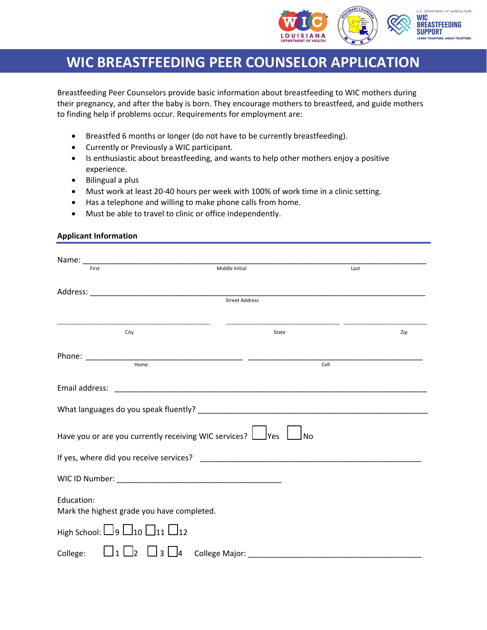

## **WIC BREASTFEEDING PEER COUNSELOR APPLICATION**

Breastfeeding Peer Counselors provide basic information about breastfeeding to WIC mothers during their pregnancy, and after the baby is born. They encourage mothers to breastfeed, and guide mothers to finding help if problems occur. Requirements for employment are:

- Breastfed 6 months or longer (do not have to be currently breastfeeding).
- Currently or Previously a WIC participant.
- Is enthusiastic about breastfeeding, and wants to help other mothers enjoy a positive experience.
- Bilingual a plus
- Must work at least 20-40 hours per week with 100% of work time in a clinic setting.
- Has a telephone and willing to make phone calls from home.
- Must be able to travel to clinic or office independently.

## **Applicant Information**

| First                                                            | Middle Initial                                       |       | Last |
|------------------------------------------------------------------|------------------------------------------------------|-------|------|
|                                                                  |                                                      |       |      |
|                                                                  | <b>Street Address</b>                                |       |      |
| City                                                             |                                                      | State | Zip  |
|                                                                  |                                                      | Cell  |      |
|                                                                  |                                                      |       |      |
| Email address:                                                   | <u> 2008 - Jan Barnett, fransk politik (d. 1888)</u> |       |      |
|                                                                  |                                                      |       |      |
| Have you or are you currently receiving WIC services? $\Box$ Yes |                                                      | _No   |      |
|                                                                  |                                                      |       |      |
|                                                                  |                                                      |       |      |
| Education:<br>Mark the highest grade you have completed.         |                                                      |       |      |
| $\mathsf{High}$ School: $\Box$ 9 $\Box$ 10 $\Box$ 11 $\Box$ 12   |                                                      |       |      |
| College:<br>l2                                                   | 3<br>College Major:<br>l4                            |       |      |